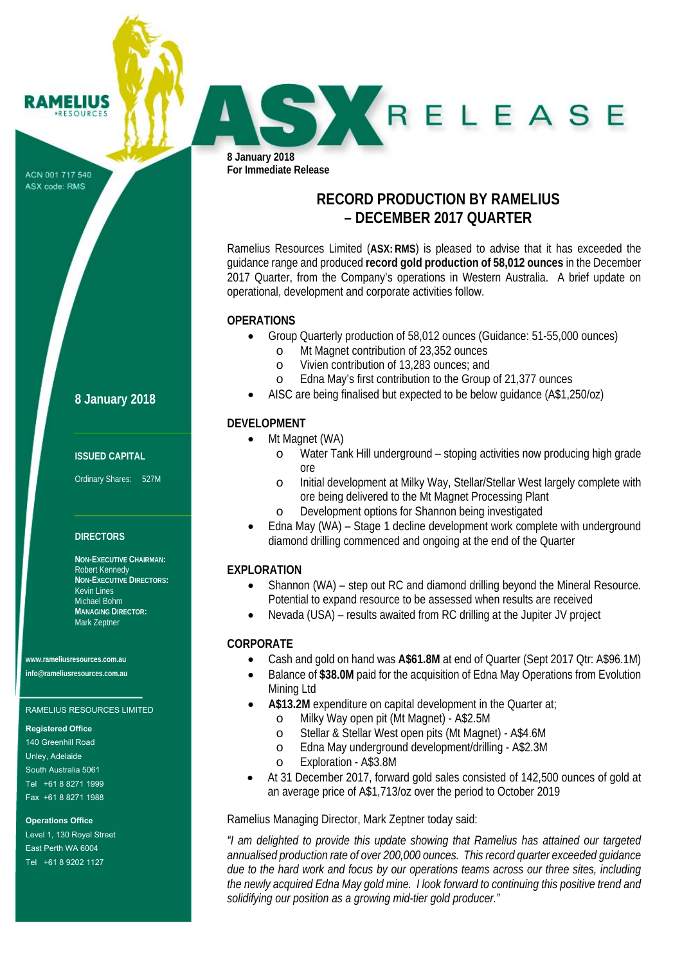ACN 001 717 540 ASX code: RMS

**RAMELIUS RESOURCES** 

**8 January 2018** 

### **ISSUED CAPITAL**

Ordinary Shares: 527M

## **DIRECTORS**

**NON-EXECUTIVE CHAIRMAN:**  Robert Kennedy **NON-EXECUTIVE DIRECTORS:**  Kevin Lines Michael Bohm **MANAGING DIRECTOR:**  Mark Zeptner

**www.rameliusresources.com.au info@rameliusresources.com.au** 

### RAMELIUS RESOURCES LIMITED

#### **Registered Office**

140 Greenhill Road Unley, Adelaide South Australia 5061 Tel +61 8 8271 1999 Fax +61 8 8271 1988

### **Operations Office**

Level 1, 130 Royal Street East Perth WA 6004 Tel +61 8 9202 1127

**8 January 2018 For Immediate Release** 

# **RECORD PRODUCTION BY RAMELIUS – DECEMBER 2017 QUARTER**

SKRELEASE

Ramelius Resources Limited (**ASX: RMS**) is pleased to advise that it has exceeded the guidance range and produced **record gold production of 58,012 ounces** in the December 2017 Quarter, from the Company's operations in Western Australia. A brief update on operational, development and corporate activities follow.

### **OPERATIONS**

- Group Quarterly production of 58,012 ounces (Guidance: 51-55,000 ounces)
	- o Mt Magnet contribution of 23,352 ounces
	- o Vivien contribution of 13,283 ounces; and
	- o Edna May's first contribution to the Group of 21,377 ounces
- AISC are being finalised but expected to be below guidance (A\$1,250/oz)

# **DEVELOPMENT**

- Mt Magnet (WA)
	- o Water Tank Hill underground stoping activities now producing high grade ore
	- o Initial development at Milky Way, Stellar/Stellar West largely complete with ore being delivered to the Mt Magnet Processing Plant
	- o Development options for Shannon being investigated
- Edna May (WA) Stage 1 decline development work complete with underground diamond drilling commenced and ongoing at the end of the Quarter

## **EXPLORATION**

- Shannon (WA) step out RC and diamond drilling beyond the Mineral Resource. Potential to expand resource to be assessed when results are received
- Nevada (USA) results awaited from RC drilling at the Jupiter JV project

## **CORPORATE**

- Cash and gold on hand was **A\$61.8M** at end of Quarter (Sept 2017 Qtr: A\$96.1M)
- Balance of **\$38.0M** paid for the acquisition of Edna May Operations from Evolution Mining Ltd
- **A\$13.2M** expenditure on capital development in the Quarter at;
	- o Milky Way open pit (Mt Magnet) A\$2.5M
	- o Stellar & Stellar West open pits (Mt Magnet) A\$4.6M
	- o Edna May underground development/drilling A\$2.3M
	- o Exploration A\$3.8M
- At 31 December 2017, forward gold sales consisted of 142,500 ounces of gold at an average price of A\$1,713/oz over the period to October 2019

Ramelius Managing Director, Mark Zeptner today said:

*"I am delighted to provide this update showing that Ramelius has attained our targeted annualised production rate of over 200,000 ounces. This record quarter exceeded guidance due to the hard work and focus by our operations teams across our three sites, including the newly acquired Edna May gold mine. I look forward to continuing this positive trend and solidifying our position as a growing mid-tier gold producer."*